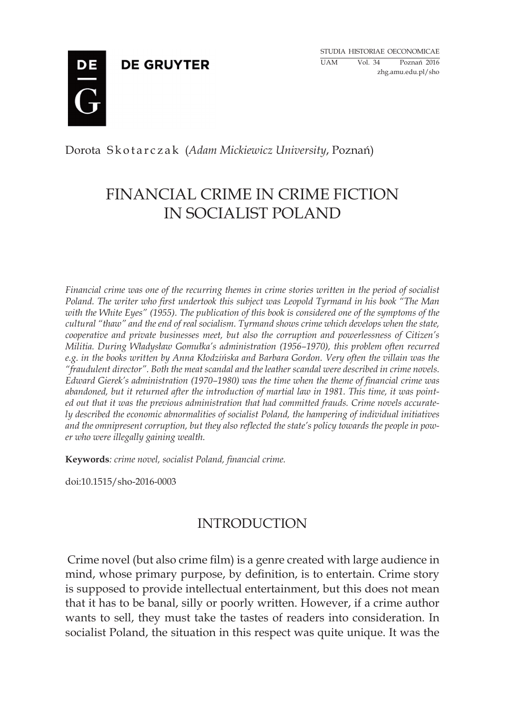**DE GRUYTER** 

Studia historiae oeconomicae UAM Vol. 34 Poznań 2016 zhg.amu.edu.pl/sho



Dorota S k o t a r c z a k (*Adam Mickiewicz University*, Poznań)

# FINANCIAL CRIME IN CRIME FICTION IN SOCIALIST POLAND

*Financial crime was one of the recurring themes in crime stories written in the period of socialist Poland. The writer who first undertook this subject was Leopold Tyrmand in his book "The Man with the White Eyes" (1955). The publication of this book is considered one of the symptoms of the cultural "thaw" and the end of real socialism. Tyrmand shows crime which develops when the state, cooperative and private businesses meet, but also the corruption and powerlessness of Citizen's Militia. During Władysław Gomułka's administration (1956–1970), this problem often recurred e.g. in the books written by Anna Kłodzińska and Barbara Gordon. Very often the villain was the "fraudulent director". Both the meat scandal and the leather scandal were described in crime novels. Edward Gierek's administration (1970–1980) was the time when the theme of financial crime was abandoned, but it returned after the introduction of martial law in 1981. This time, it was pointed out that it was the previous administration that had committed frauds. Crime novels accurately described the economic abnormalities of socialist Poland, the hampering of individual initiatives and the omnipresent corruption, but they also reflected the state's policy towards the people in power who were illegally gaining wealth.*

**Keywords***: crime novel, socialist Poland, financial crime.*

doi:10.1515/sho-2016-0003

## INTRODUCTION

Crime novel (but also crime film) is a genre created with large audience in mind, whose primary purpose, by definition, is to entertain. Crime story is supposed to provide intellectual entertainment, but this does not mean that it has to be banal, silly or poorly written. However, if a crime author wants to sell, they must take the tastes of readers into consideration. In socialist Poland, the situation in this respect was quite unique. It was the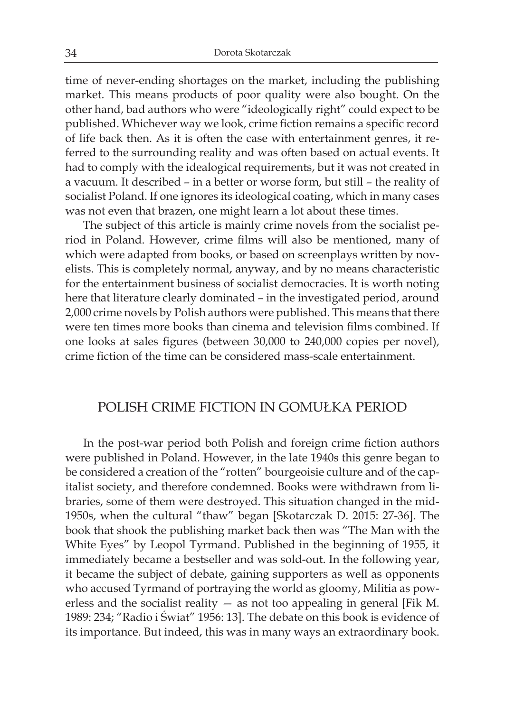time of never-ending shortages on the market, including the publishing market. This means products of poor quality were also bought. On the other hand, bad authors who were "ideologically right" could expect to be published. Whichever way we look, crime fiction remains a specific record of life back then. As it is often the case with entertainment genres, it referred to the surrounding reality and was often based on actual events. It had to comply with the idealogical requirements, but it was not created in a vacuum. It described – in a better or worse form, but still – the reality of socialist Poland. If one ignores its ideological coating, which in many cases was not even that brazen, one might learn a lot about these times.

The subject of this article is mainly crime novels from the socialist period in Poland. However, crime films will also be mentioned, many of which were adapted from books, or based on screenplays written by novelists. This is completely normal, anyway, and by no means characteristic for the entertainment business of socialist democracies. It is worth noting here that literature clearly dominated – in the investigated period, around 2,000 crime novels by Polish authors were published. This means that there were ten times more books than cinema and television films combined. If one looks at sales figures (between 30,000 to 240,000 copies per novel), crime fiction of the time can be considered mass-scale entertainment.

#### POLISH CRIME FICTION IN GOMUŁKA PERIOD

In the post-war period both Polish and foreign crime fiction authors were published in Poland. However, in the late 1940s this genre began to be considered a creation of the "rotten" bourgeoisie culture and of the capitalist society, and therefore condemned. Books were withdrawn from libraries, some of them were destroyed. This situation changed in the mid-1950s, when the cultural "thaw" began [Skotarczak D. 2015: 27-36]. The book that shook the publishing market back then was "The Man with the White Eyes" by Leopol Tyrmand. Published in the beginning of 1955, it immediately became a bestseller and was sold-out. In the following year, it became the subject of debate, gaining supporters as well as opponents who accused Tyrmand of portraying the world as gloomy, Militia as powerless and the socialist reality — as not too appealing in general [Fik M. 1989: 234; "Radio i Świat" 1956: 13]. The debate on this book is evidence of its importance. But indeed, this was in many ways an extraordinary book.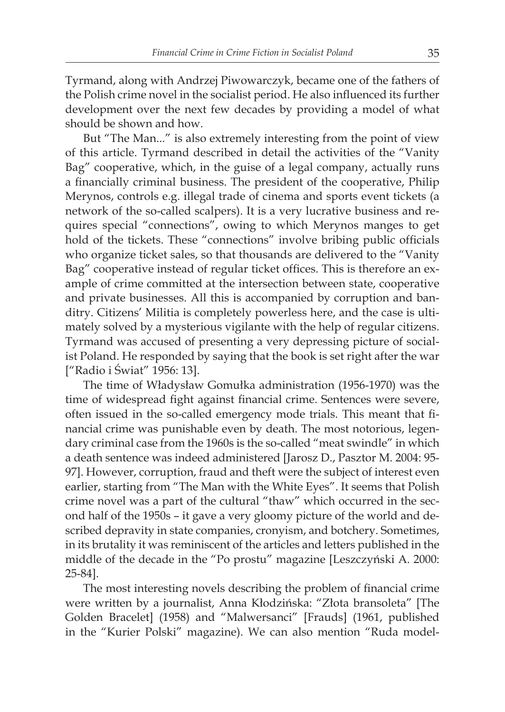Tyrmand, along with Andrzej Piwowarczyk, became one of the fathers of the Polish crime novel in the socialist period. He also influenced its further development over the next few decades by providing a model of what should be shown and how.

But "The Man..." is also extremely interesting from the point of view of this article. Tyrmand described in detail the activities of the "Vanity Bag" cooperative, which, in the guise of a legal company, actually runs a financially criminal business. The president of the cooperative, Philip Merynos, controls e.g. illegal trade of cinema and sports event tickets (a network of the so-called scalpers). It is a very lucrative business and requires special "connections", owing to which Merynos manges to get hold of the tickets. These "connections" involve bribing public officials who organize ticket sales, so that thousands are delivered to the "Vanity Bag" cooperative instead of regular ticket offices. This is therefore an example of crime committed at the intersection between state, cooperative and private businesses. All this is accompanied by corruption and banditry. Citizens' Militia is completely powerless here, and the case is ultimately solved by a mysterious vigilante with the help of regular citizens. Tyrmand was accused of presenting a very depressing picture of socialist Poland. He responded by saying that the book is set right after the war ["Radio i Świat" 1956: 13].

The time of Władysław Gomułka administration (1956-1970) was the time of widespread fight against financial crime. Sentences were severe, often issued in the so-called emergency mode trials. This meant that financial crime was punishable even by death. The most notorious, legendary criminal case from the 1960s is the so-called "meat swindle" in which a death sentence was indeed administered [Jarosz D., Pasztor M. 2004: 95- 97]. However, corruption, fraud and theft were the subject of interest even earlier, starting from "The Man with the White Eyes". It seems that Polish crime novel was a part of the cultural "thaw" which occurred in the second half of the 1950s – it gave a very gloomy picture of the world and described depravity in state companies, cronyism, and botchery. Sometimes, in its brutality it was reminiscent of the articles and letters published in the middle of the decade in the "Po prostu" magazine [Leszczyński A. 2000: 25-84].

The most interesting novels describing the problem of financial crime were written by a journalist, Anna Kłodzińska: "Złota bransoleta" [The Golden Bracelet] (1958) and "Malwersanci" [Frauds] (1961, published in the "Kurier Polski" magazine). We can also mention "Ruda model-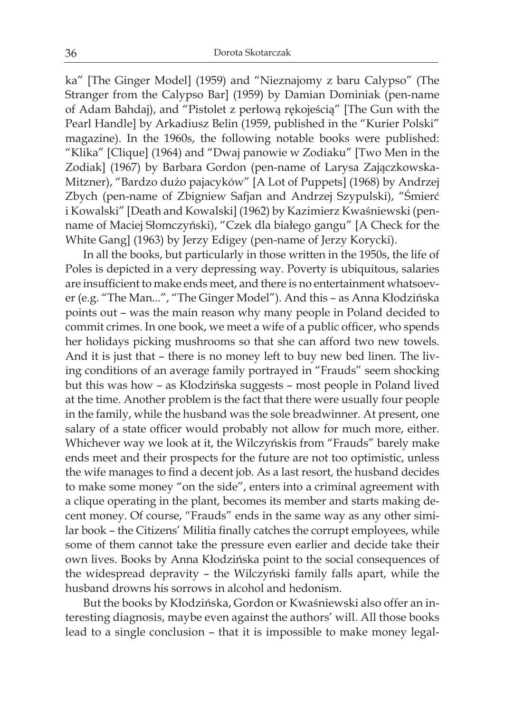ka" [The Ginger Model] (1959) and "Nieznajomy z baru Calypso" (The Stranger from the Calypso Bar] (1959) by Damian Dominiak (pen-name of Adam Bahdaj), and "Pistolet z perłową rękojeścią" [The Gun with the Pearl Handle] by Arkadiusz Belin (1959, published in the "Kurier Polski" magazine). In the 1960s, the following notable books were published: "Klika" [Clique] (1964) and "Dwaj panowie w Zodiaku" [Two Men in the Zodiak] (1967) by Barbara Gordon (pen-name of Larysa Zajączkowska-Mitzner), "Bardzo dużo pajacyków" [A Lot of Puppets] (1968) by Andrzej Zbych (pen-name of Zbigniew Safjan and Andrzej Szypulski), "Śmierć i Kowalski" [Death and Kowalski] (1962) by Kazimierz Kwaśniewski (penname of Maciej Słomczyński), "Czek dla białego gangu" [A Check for the White Gang] (1963) by Jerzy Edigey (pen-name of Jerzy Korycki).

In all the books, but particularly in those written in the 1950s, the life of Poles is depicted in a very depressing way. Poverty is ubiquitous, salaries are insufficient to make ends meet, and there is no entertainment whatsoever (e.g. "The Man...", "The Ginger Model"). And this – as Anna Kłodzińska points out – was the main reason why many people in Poland decided to commit crimes. In one book, we meet a wife of a public officer, who spends her holidays picking mushrooms so that she can afford two new towels. And it is just that – there is no money left to buy new bed linen. The living conditions of an average family portrayed in "Frauds" seem shocking but this was how – as Kłodzińska suggests – most people in Poland lived at the time. Another problem is the fact that there were usually four people in the family, while the husband was the sole breadwinner. At present, one salary of a state officer would probably not allow for much more, either. Whichever way we look at it, the Wilczyńskis from "Frauds" barely make ends meet and their prospects for the future are not too optimistic, unless the wife manages to find a decent job. As a last resort, the husband decides to make some money "on the side", enters into a criminal agreement with a clique operating in the plant, becomes its member and starts making decent money. Of course, "Frauds" ends in the same way as any other similar book – the Citizens' Militia finally catches the corrupt employees, while some of them cannot take the pressure even earlier and decide take their own lives. Books by Anna Kłodzińska point to the social consequences of the widespread depravity – the Wilczyński family falls apart, while the husband drowns his sorrows in alcohol and hedonism.

But the books by Kłodzińska, Gordon or Kwaśniewski also offer an interesting diagnosis, maybe even against the authors' will. All those books lead to a single conclusion – that it is impossible to make money legal-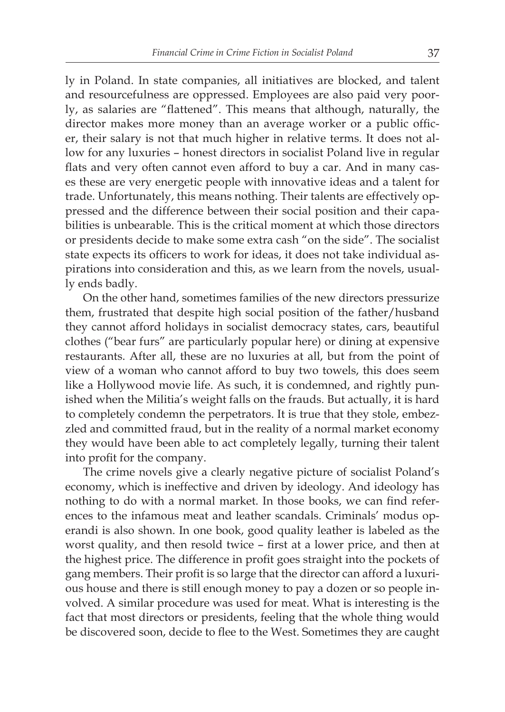ly in Poland. In state companies, all initiatives are blocked, and talent and resourcefulness are oppressed. Employees are also paid very poorly, as salaries are "flattened". This means that although, naturally, the director makes more money than an average worker or a public officer, their salary is not that much higher in relative terms. It does not allow for any luxuries – honest directors in socialist Poland live in regular flats and very often cannot even afford to buy a car. And in many cases these are very energetic people with innovative ideas and a talent for trade. Unfortunately, this means nothing. Their talents are effectively oppressed and the difference between their social position and their capabilities is unbearable. This is the critical moment at which those directors or presidents decide to make some extra cash "on the side". The socialist state expects its officers to work for ideas, it does not take individual aspirations into consideration and this, as we learn from the novels, usually ends badly.

On the other hand, sometimes families of the new directors pressurize them, frustrated that despite high social position of the father/husband they cannot afford holidays in socialist democracy states, cars, beautiful clothes ("bear furs" are particularly popular here) or dining at expensive restaurants. After all, these are no luxuries at all, but from the point of view of a woman who cannot afford to buy two towels, this does seem like a Hollywood movie life. As such, it is condemned, and rightly punished when the Militia's weight falls on the frauds. But actually, it is hard to completely condemn the perpetrators. It is true that they stole, embezzled and committed fraud, but in the reality of a normal market economy they would have been able to act completely legally, turning their talent into profit for the company.

The crime novels give a clearly negative picture of socialist Poland's economy, which is ineffective and driven by ideology. And ideology has nothing to do with a normal market. In those books, we can find references to the infamous meat and leather scandals. Criminals' modus operandi is also shown. In one book, good quality leather is labeled as the worst quality, and then resold twice – first at a lower price, and then at the highest price. The difference in profit goes straight into the pockets of gang members. Their profit is so large that the director can afford a luxurious house and there is still enough money to pay a dozen or so people involved. A similar procedure was used for meat. What is interesting is the fact that most directors or presidents, feeling that the whole thing would be discovered soon, decide to flee to the West. Sometimes they are caught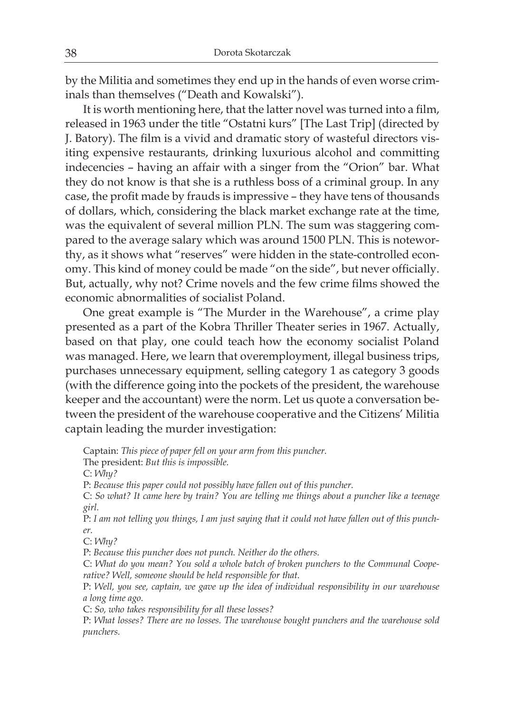by the Militia and sometimes they end up in the hands of even worse criminals than themselves ("Death and Kowalski").

It is worth mentioning here, that the latter novel was turned into a film, released in 1963 under the title "Ostatni kurs" [The Last Trip] (directed by J. Batory). The film is a vivid and dramatic story of wasteful directors visiting expensive restaurants, drinking luxurious alcohol and committing indecencies – having an affair with a singer from the "Orion" bar. What they do not know is that she is a ruthless boss of a criminal group. In any case, the profit made by frauds is impressive – they have tens of thousands of dollars, which, considering the black market exchange rate at the time, was the equivalent of several million PLN. The sum was staggering compared to the average salary which was around 1500 PLN. This is noteworthy, as it shows what "reserves" were hidden in the state-controlled economy. This kind of money could be made "on the side", but never officially. But, actually, why not? Crime novels and the few crime films showed the economic abnormalities of socialist Poland.

One great example is "The Murder in the Warehouse", a crime play presented as a part of the Kobra Thriller Theater series in 1967. Actually, based on that play, one could teach how the economy socialist Poland was managed. Here, we learn that overemployment, illegal business trips, purchases unnecessary equipment, selling category 1 as category 3 goods (with the difference going into the pockets of the president, the warehouse keeper and the accountant) were the norm. Let us quote a conversation between the president of the warehouse cooperative and the Citizens' Militia captain leading the murder investigation:

Captain: *This piece of paper fell on your arm from this puncher.*

The president: *But this is impossible.*

C: *Why?*

P: *Because this paper could not possibly have fallen out of this puncher.*

C: *So what? It came here by train? You are telling me things about a puncher like a teenage girl.*

P: *I am not telling you things, I am just saying that it could not have fallen out of this puncher.*

C: *Why?*

P: *Because this puncher does not punch. Neither do the others.*

C: *What do you mean? You sold a whole batch of broken punchers to the Communal Cooperative? Well, someone should be held responsible for that.*

P: *Well, you see, captain, we gave up the idea of individual responsibility in our warehouse a long time ago.*

C: *So, who takes responsibility for all these losses?*

P: *What losses? There are no losses. The warehouse bought punchers and the warehouse sold punchers.*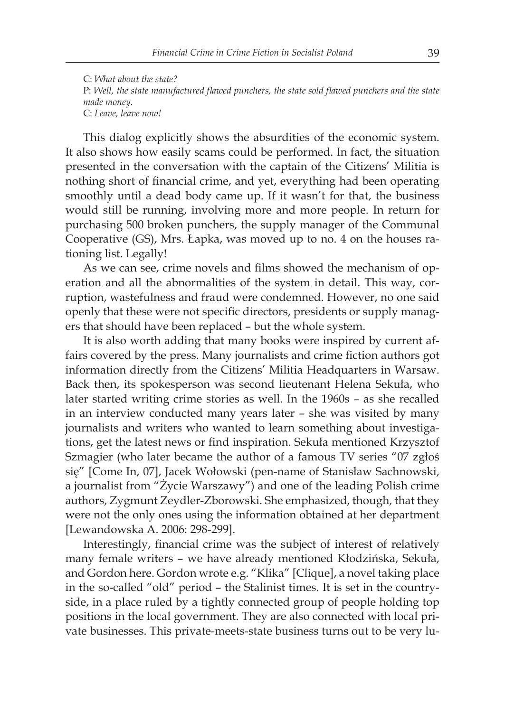C: *What about the state?* P: *Well, the state manufactured flawed punchers, the state sold flawed punchers and the state made money.* C: *Leave, leave now!*

This dialog explicitly shows the absurdities of the economic system. It also shows how easily scams could be performed. In fact, the situation presented in the conversation with the captain of the Citizens' Militia is nothing short of financial crime, and yet, everything had been operating smoothly until a dead body came up. If it wasn't for that, the business would still be running, involving more and more people. In return for purchasing 500 broken punchers, the supply manager of the Communal Cooperative (GS), Mrs. Łapka, was moved up to no. 4 on the houses rationing list. Legally!

As we can see, crime novels and films showed the mechanism of operation and all the abnormalities of the system in detail. This way, corruption, wastefulness and fraud were condemned. However, no one said openly that these were not specific directors, presidents or supply managers that should have been replaced – but the whole system.

It is also worth adding that many books were inspired by current affairs covered by the press. Many journalists and crime fiction authors got information directly from the Citizens' Militia Headquarters in Warsaw. Back then, its spokesperson was second lieutenant Helena Sekuła, who later started writing crime stories as well. In the 1960s – as she recalled in an interview conducted many years later – she was visited by many journalists and writers who wanted to learn something about investigations, get the latest news or find inspiration. Sekuła mentioned Krzysztof Szmagier (who later became the author of a famous TV series "07 zgłoś się" [Come In, 07], Jacek Wołowski (pen-name of Stanisław Sachnowski, a journalist from "Życie Warszawy") and one of the leading Polish crime authors, Zygmunt Zeydler-Zborowski. She emphasized, though, that they were not the only ones using the information obtained at her department [Lewandowska A. 2006: 298-299].

Interestingly, financial crime was the subject of interest of relatively many female writers – we have already mentioned Kłodzińska, Sekuła, and Gordon here. Gordon wrote e.g. "Klika" [Clique], a novel taking place in the so-called "old" period – the Stalinist times. It is set in the countryside, in a place ruled by a tightly connected group of people holding top positions in the local government. They are also connected with local private businesses. This private-meets-state business turns out to be very lu-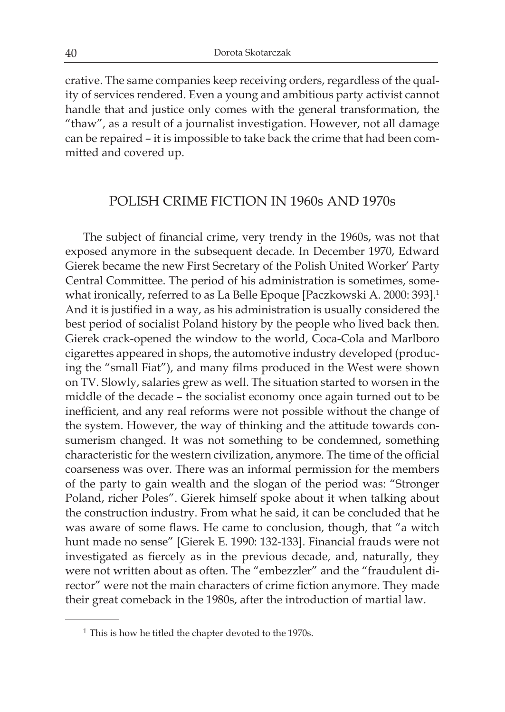crative. The same companies keep receiving orders, regardless of the quality of services rendered. Even a young and ambitious party activist cannot handle that and justice only comes with the general transformation, the "thaw", as a result of a journalist investigation. However, not all damage can be repaired – it is impossible to take back the crime that had been committed and covered up.

#### POLISH CRIME FICTION IN 1960s AND 1970s

The subject of financial crime, very trendy in the 1960s, was not that exposed anymore in the subsequent decade. In December 1970, Edward Gierek became the new First Secretary of the Polish United Worker' Party Central Committee. The period of his administration is sometimes, somewhat ironically, referred to as La Belle Epoque [Paczkowski A. 2000: 393].<sup>1</sup> And it is justified in a way, as his administration is usually considered the best period of socialist Poland history by the people who lived back then. Gierek crack-opened the window to the world, Coca-Cola and Marlboro cigarettes appeared in shops, the automotive industry developed (producing the "small Fiat"), and many films produced in the West were shown on TV. Slowly, salaries grew as well. The situation started to worsen in the middle of the decade – the socialist economy once again turned out to be inefficient, and any real reforms were not possible without the change of the system. However, the way of thinking and the attitude towards consumerism changed. It was not something to be condemned, something characteristic for the western civilization, anymore. The time of the official coarseness was over. There was an informal permission for the members of the party to gain wealth and the slogan of the period was: "Stronger Poland, richer Poles". Gierek himself spoke about it when talking about the construction industry. From what he said, it can be concluded that he was aware of some flaws. He came to conclusion, though, that "a witch hunt made no sense" [Gierek E. 1990: 132-133]. Financial frauds were not investigated as fiercely as in the previous decade, and, naturally, they were not written about as often. The "embezzler" and the "fraudulent director" were not the main characters of crime fiction anymore. They made their great comeback in the 1980s, after the introduction of martial law.

 $1$  This is how he titled the chapter devoted to the 1970s.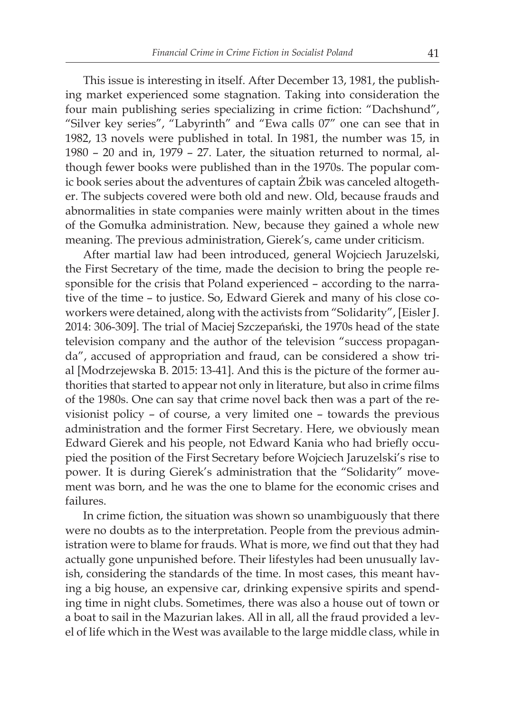This issue is interesting in itself. After December 13, 1981, the publishing market experienced some stagnation. Taking into consideration the four main publishing series specializing in crime fiction: "Dachshund", "Silver key series", "Labyrinth" and "Ewa calls 07" one can see that in 1982, 13 novels were published in total. In 1981, the number was 15, in 1980 – 20 and in, 1979 – 27. Later, the situation returned to normal, although fewer books were published than in the 1970s. The popular comic book series about the adventures of captain Żbik was canceled altogether. The subjects covered were both old and new. Old, because frauds and abnormalities in state companies were mainly written about in the times of the Gomułka administration. New, because they gained a whole new meaning. The previous administration, Gierek's, came under criticism.

After martial law had been introduced, general Wojciech Jaruzelski, the First Secretary of the time, made the decision to bring the people responsible for the crisis that Poland experienced – according to the narrative of the time – to justice. So, Edward Gierek and many of his close coworkers were detained, along with the activists from "Solidarity", [EislerJ. 2014: 306-309]. The trial of Maciej Szczepański, the 1970s head of the state television company and the author of the television "success propaganda", accused of appropriation and fraud, can be considered a show trial [Modrzejewska B. 2015: 13-41]. And this is the picture of the former authorities that started to appear not only in literature, but also in crime films of the 1980s. One can say that crime novel back then was a part of the revisionist policy – of course, a very limited one – towards the previous administration and the former First Secretary. Here, we obviously mean Edward Gierek and his people, not Edward Kania who had briefly occupied the position of the First Secretary before Wojciech Jaruzelski's rise to power. It is during Gierek's administration that the "Solidarity" movement was born, and he was the one to blame for the economic crises and failures.

In crime fiction, the situation was shown so unambiguously that there were no doubts as to the interpretation. People from the previous administration were to blame for frauds. What is more, we find out that they had actually gone unpunished before. Their lifestyles had been unusually lavish, considering the standards of the time. In most cases, this meant having a big house, an expensive car, drinking expensive spirits and spending time in night clubs. Sometimes, there was also a house out of town or a boat to sail in the Mazurian lakes. All in all, all the fraud provided a level of life which in the West was available to the large middle class, while in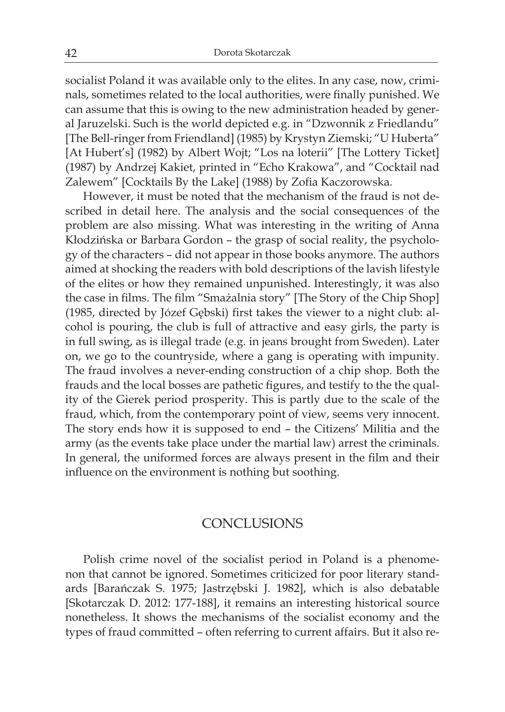socialist Poland it was available only to the elites. In any case, now, criminals, sometimes related to the local authorities, were finally punished. We can assume that this is owing to the new administration headed by general Jaruzelski. Such is the world depicted e.g. in "Dzwonnik z Friedlandu" [The Bell-ringer from Friendland] (1985) by Krystyn Ziemski; "U Huberta" [At Hubert's] (1982) by Albert Wojt; "Los na loterii" [The Lottery Ticket] (1987) by Andrzej Kakiet, printed in "Echo Krakowa", and "Cocktail nad Zalewem" [Cocktails By the Lake] (1988) by Zofia Kaczorowska.

However, it must be noted that the mechanism of the fraud is not described in detail here. The analysis and the social consequences of the problem are also missing. What was interesting in the writing of Anna Kłodzińska or Barbara Gordon – the grasp of social reality, the psychology of the characters – did not appear in those books anymore. The authors aimed at shocking the readers with bold descriptions of the lavish lifestyle of the elites or how they remained unpunished. Interestingly, it was also the case in films. The film "Smażalnia story" [The Story of the Chip Shop] (1985, directed by Józef Gębski) first takes the viewer to a night club: alcohol is pouring, the club is full of attractive and easy girls, the party is in full swing, as is illegal trade (e.g. in jeans brought from Sweden). Later on, we go to the countryside, where a gang is operating with impunity. The fraud involves a never-ending construction of a chip shop. Both the frauds and the local bosses are pathetic figures, and testify to the the quality of the Gierek period prosperity. This is partly due to the scale of the fraud, which, from the contemporary point of view, seems very innocent. The story ends how it is supposed to end – the Citizens' Militia and the army (as the events take place under the martial law) arrest the criminals. In general, the uniformed forces are always present in the film and their influence on the environment is nothing but soothing.

#### CONCLUSIONS

Polish crime novel of the socialist period in Poland is a phenomenon that cannot be ignored. Sometimes criticized for poor literary standards [Barańczak S. 1975; Jastrzębski J. 1982], which is also debatable [Skotarczak D. 2012: 177-188], it remains an interesting historical source nonetheless. It shows the mechanisms of the socialist economy and the types of fraud committed – often referring to current affairs. But it also re-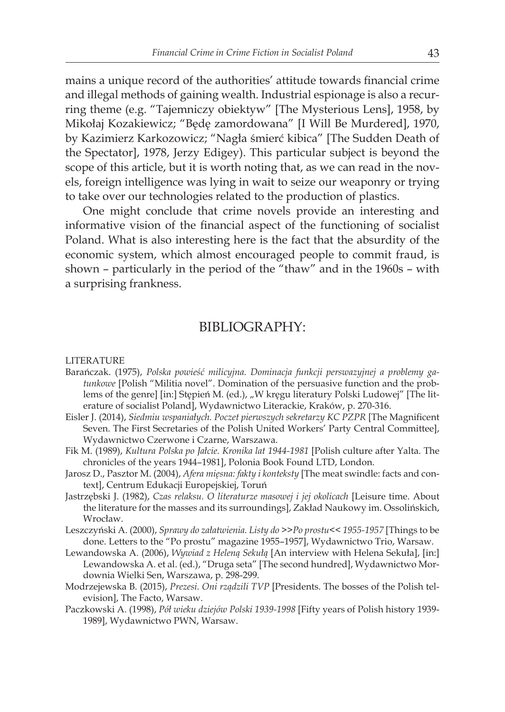mains a unique record of the authorities' attitude towards financial crime and illegal methods of gaining wealth. Industrial espionage is also a recurring theme (e.g. "Tajemniczy obiektyw" [The Mysterious Lens], 1958, by Mikołaj Kozakiewicz; "Będę zamordowana" [I Will Be Murdered], 1970, by Kazimierz Karkozowicz; "Nagła śmierć kibica" [The Sudden Death of the Spectator], 1978, Jerzy Edigey). This particular subject is beyond the scope of this article, but it is worth noting that, as we can read in the novels, foreign intelligence was lying in wait to seize our weaponry or trying to take over our technologies related to the production of plastics.

One might conclude that crime novels provide an interesting and informative vision of the financial aspect of the functioning of socialist Poland. What is also interesting here is the fact that the absurdity of the economic system, which almost encouraged people to commit fraud, is shown – particularly in the period of the "thaw" and in the 1960s – with a surprising frankness.

### BIBLIOGRAPHY:

#### LITERATURE

- Barańczak. (1975), *Polska powieść milicyjna. Dominacja funkcji perswazyjnej a problemy gatunkowe* [Polish "Militia novel". Domination of the persuasive function and the problems of the genre] [in:] Stępień M. (ed.), "W kręgu literatury Polski Ludowej" [The literature of socialist Poland], Wydawnictwo Literackie, Kraków, p. 270-316.
- Eisler J. (2014), *Siedmiu wspaniałych. Poczet pierwszych sekretarzy KC PZPR* [The Magnificent Seven. The First Secretaries of the Polish United Workers' Party Central Committee], Wydawnictwo Czerwone i Czarne, Warszawa.
- Fik M. (1989), *Kultura Polska po Jałcie. Kronika lat 1944-1981* [Polish culture after Yalta. The chronicles of the years 1944–1981], Polonia Book Found LTD, London.
- Jarosz D., Pasztor M. (2004), *Afera mięsna: fakty i konteksty* [The meat swindle: facts and context], Centrum Edukacji Europejskiej, Toruń
- Jastrzębski J. (1982), *Czas relaksu. O literaturze masowej i jej okolicach* [Leisure time. About the literature for the masses and its surroundings], Zakład Naukowy im. Ossolińskich, Wrocław.
- Leszczyński A. (2000), *Sprawy do załatwienia. Listy do >>Po prostu<< 1955-1957* [Things to be done. Letters to the "Po prostu" magazine 1955–1957], Wydawnictwo Trio, Warsaw.
- Lewandowska A. (2006), *Wywiad z Heleną Sekułą* [An interview with Helena Sekuła], [in:] Lewandowska A. et al. (ed.), "Druga seta" [The second hundred], Wydawnictwo Mordownia Wielki Sen, Warszawa, p. 298-299.
- Modrzejewska B. (2015), *Prezesi. Oni rządzili TVP* [Presidents. The bosses of the Polish television], The Facto, Warsaw.
- Paczkowski A. (1998), *Pół wieku dziejów Polski 1939-1998* [Fifty years of Polish history 1939- 1989], Wydawnictwo PWN, Warsaw.